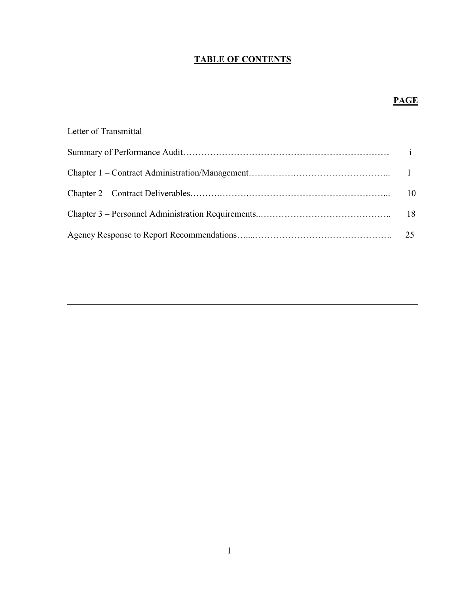## **TABLE OF CONTENTS**

## **PAGE**

| Letter of Transmittal |               |
|-----------------------|---------------|
|                       |               |
|                       |               |
|                       | <sup>10</sup> |
|                       |               |
|                       |               |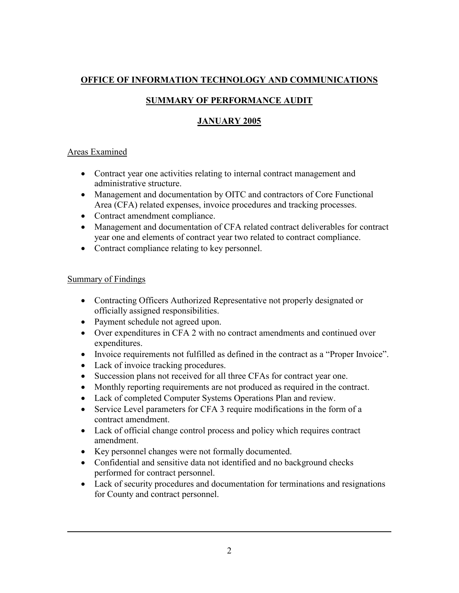## **OFFICE OF INFORMATION TECHNOLOGY AND COMMUNICATIONS**

## **SUMMARY OF PERFORMANCE AUDIT**

## **JANUARY 2005**

## Areas Examined

- Contract year one activities relating to internal contract management and administrative structure.
- Management and documentation by OITC and contractors of Core Functional Area (CFA) related expenses, invoice procedures and tracking processes.
- Contract amendment compliance.
- Management and documentation of CFA related contract deliverables for contract year one and elements of contract year two related to contract compliance.
- Contract compliance relating to key personnel.

## Summary of Findings

- Contracting Officers Authorized Representative not properly designated or officially assigned responsibilities.
- Payment schedule not agreed upon.
- Over expenditures in CFA 2 with no contract amendments and continued over expenditures.
- Invoice requirements not fulfilled as defined in the contract as a "Proper Invoice".
- Lack of invoice tracking procedures.
- Succession plans not received for all three CFAs for contract year one.
- Monthly reporting requirements are not produced as required in the contract.
- Lack of completed Computer Systems Operations Plan and review.
- Service Level parameters for CFA 3 require modifications in the form of a contract amendment.
- Lack of official change control process and policy which requires contract amendment.
- Key personnel changes were not formally documented.
- Confidential and sensitive data not identified and no background checks performed for contract personnel.
- Lack of security procedures and documentation for terminations and resignations for County and contract personnel.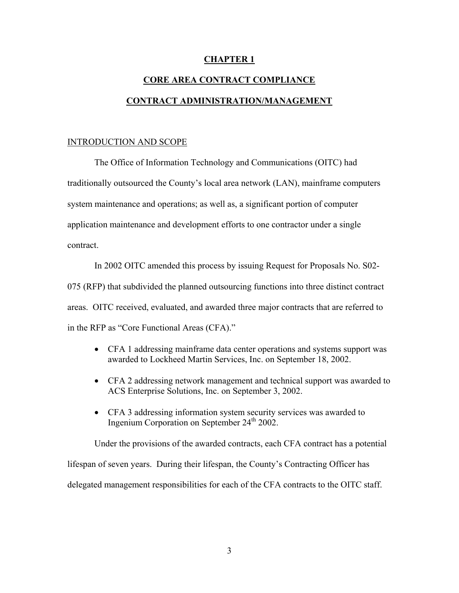### **CHAPTER 1**

# **CORE AREA CONTRACT COMPLIANCE CONTRACT ADMINISTRATION/MANAGEMENT**

### INTRODUCTION AND SCOPE

The Office of Information Technology and Communications (OITC) had traditionally outsourced the County's local area network (LAN), mainframe computers system maintenance and operations; as well as, a significant portion of computer application maintenance and development efforts to one contractor under a single contract.

In 2002 OITC amended this process by issuing Request for Proposals No. S02- 075 (RFP) that subdivided the planned outsourcing functions into three distinct contract areas. OITC received, evaluated, and awarded three major contracts that are referred to in the RFP as "Core Functional Areas (CFA)."

- CFA 1 addressing mainframe data center operations and systems support was awarded to Lockheed Martin Services, Inc. on September 18, 2002.
- CFA 2 addressing network management and technical support was awarded to ACS Enterprise Solutions, Inc. on September 3, 2002.
- CFA 3 addressing information system security services was awarded to Ingenium Corporation on September  $24<sup>th</sup> 2002$ .

Under the provisions of the awarded contracts, each CFA contract has a potential lifespan of seven years. During their lifespan, the County's Contracting Officer has delegated management responsibilities for each of the CFA contracts to the OITC staff.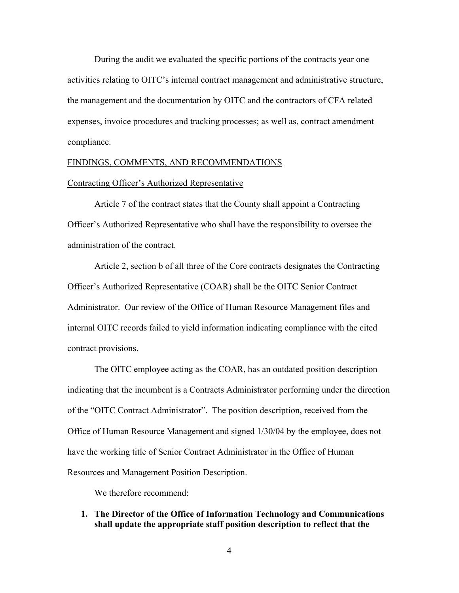During the audit we evaluated the specific portions of the contracts year one activities relating to OITC's internal contract management and administrative structure, the management and the documentation by OITC and the contractors of CFA related expenses, invoice procedures and tracking processes; as well as, contract amendment compliance.

### FINDINGS, COMMENTS, AND RECOMMENDATIONS

### Contracting Officer's Authorized Representative

Article 7 of the contract states that the County shall appoint a Contracting Officer's Authorized Representative who shall have the responsibility to oversee the administration of the contract.

Article 2, section b of all three of the Core contracts designates the Contracting Officer's Authorized Representative (COAR) shall be the OITC Senior Contract Administrator. Our review of the Office of Human Resource Management files and internal OITC records failed to yield information indicating compliance with the cited contract provisions.

The OITC employee acting as the COAR, has an outdated position description indicating that the incumbent is a Contracts Administrator performing under the direction of the "OITC Contract Administrator". The position description, received from the Office of Human Resource Management and signed 1/30/04 by the employee, does not have the working title of Senior Contract Administrator in the Office of Human Resources and Management Position Description.

We therefore recommend:

**1. The Director of the Office of Information Technology and Communications shall update the appropriate staff position description to reflect that the**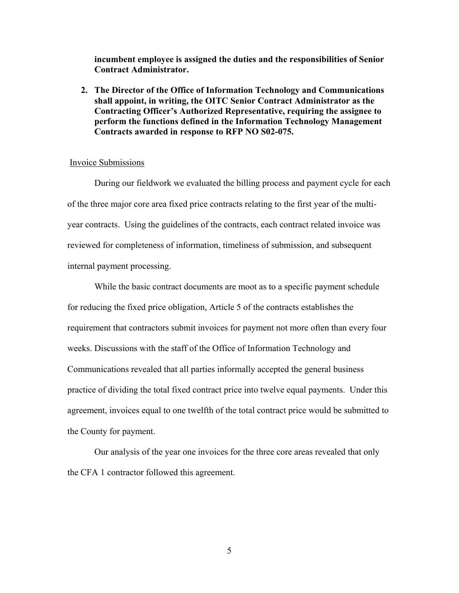**incumbent employee is assigned the duties and the responsibilities of Senior Contract Administrator.** 

**2. The Director of the Office of Information Technology and Communications shall appoint, in writing, the OITC Senior Contract Administrator as the Contracting Officer's Authorized Representative, requiring the assignee to perform the functions defined in the Information Technology Management Contracts awarded in response to RFP NO S02-075.** 

### Invoice Submissions

During our fieldwork we evaluated the billing process and payment cycle for each of the three major core area fixed price contracts relating to the first year of the multiyear contracts. Using the guidelines of the contracts, each contract related invoice was reviewed for completeness of information, timeliness of submission, and subsequent internal payment processing.

While the basic contract documents are moot as to a specific payment schedule for reducing the fixed price obligation, Article 5 of the contracts establishes the requirement that contractors submit invoices for payment not more often than every four weeks. Discussions with the staff of the Office of Information Technology and Communications revealed that all parties informally accepted the general business practice of dividing the total fixed contract price into twelve equal payments. Under this agreement, invoices equal to one twelfth of the total contract price would be submitted to the County for payment.

Our analysis of the year one invoices for the three core areas revealed that only the CFA 1 contractor followed this agreement.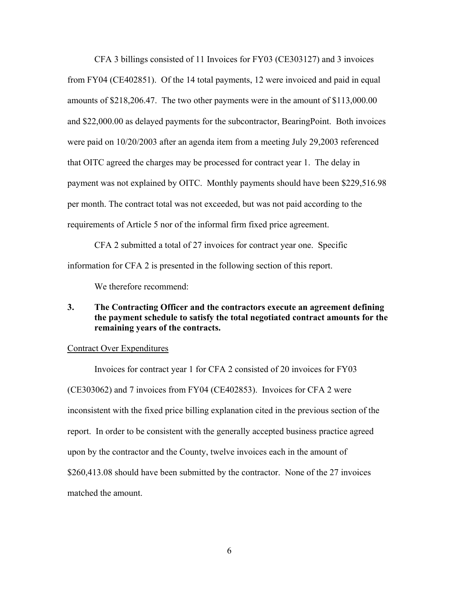CFA 3 billings consisted of 11 Invoices for FY03 (CE303127) and 3 invoices from FY04 (CE402851). Of the 14 total payments, 12 were invoiced and paid in equal amounts of \$218,206.47. The two other payments were in the amount of \$113,000.00 and \$22,000.00 as delayed payments for the subcontractor, BearingPoint. Both invoices were paid on 10/20/2003 after an agenda item from a meeting July 29,2003 referenced that OITC agreed the charges may be processed for contract year 1. The delay in payment was not explained by OITC. Monthly payments should have been \$229,516.98 per month. The contract total was not exceeded, but was not paid according to the requirements of Article 5 nor of the informal firm fixed price agreement.

CFA 2 submitted a total of 27 invoices for contract year one. Specific information for CFA 2 is presented in the following section of this report.

We therefore recommend:

### **3. The Contracting Officer and the contractors execute an agreement defining the payment schedule to satisfy the total negotiated contract amounts for the remaining years of the contracts.**

### Contract Over Expenditures

Invoices for contract year 1 for CFA 2 consisted of 20 invoices for FY03 (CE303062) and 7 invoices from FY04 (CE402853). Invoices for CFA 2 were inconsistent with the fixed price billing explanation cited in the previous section of the report. In order to be consistent with the generally accepted business practice agreed upon by the contractor and the County, twelve invoices each in the amount of \$260,413.08 should have been submitted by the contractor. None of the 27 invoices matched the amount.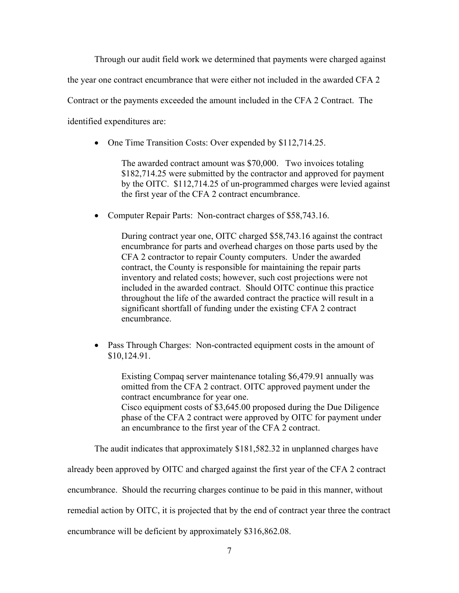Through our audit field work we determined that payments were charged against

the year one contract encumbrance that were either not included in the awarded CFA 2

Contract or the payments exceeded the amount included in the CFA 2 Contract. The

identified expenditures are:

• One Time Transition Costs: Over expended by \$112,714.25.

The awarded contract amount was \$70,000. Two invoices totaling \$182,714.25 were submitted by the contractor and approved for payment by the OITC. \$112,714.25 of un-programmed charges were levied against the first year of the CFA 2 contract encumbrance.

• Computer Repair Parts: Non-contract charges of \$58,743.16.

During contract year one, OITC charged \$58,743.16 against the contract encumbrance for parts and overhead charges on those parts used by the CFA 2 contractor to repair County computers. Under the awarded contract, the County is responsible for maintaining the repair parts inventory and related costs; however, such cost projections were not included in the awarded contract. Should OITC continue this practice throughout the life of the awarded contract the practice will result in a significant shortfall of funding under the existing CFA 2 contract encumbrance.

• Pass Through Charges: Non-contracted equipment costs in the amount of \$10,124.91.

Existing Compaq server maintenance totaling \$6,479.91 annually was omitted from the CFA 2 contract. OITC approved payment under the contract encumbrance for year one. Cisco equipment costs of \$3,645.00 proposed during the Due Diligence phase of the CFA 2 contract were approved by OITC for payment under an encumbrance to the first year of the CFA 2 contract.

The audit indicates that approximately \$181,582.32 in unplanned charges have

already been approved by OITC and charged against the first year of the CFA 2 contract

encumbrance. Should the recurring charges continue to be paid in this manner, without

remedial action by OITC, it is projected that by the end of contract year three the contract

encumbrance will be deficient by approximately \$316,862.08.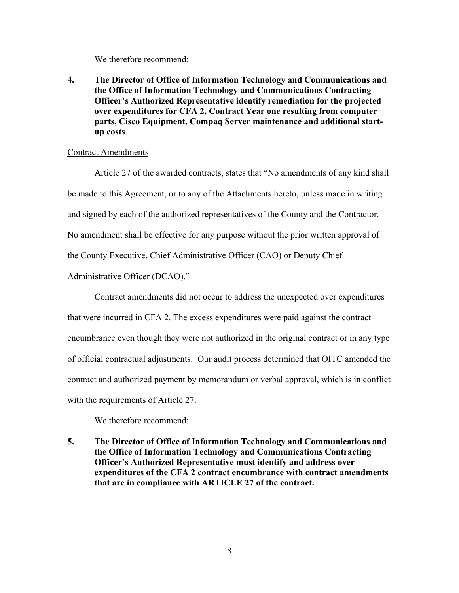We therefore recommend:

**4. The Director of Office of Information Technology and Communications and the Office of Information Technology and Communications Contracting Officer's Authorized Representative identify remediation for the projected over expenditures for CFA 2, Contract Year one resulting from computer parts, Cisco Equipment, Compaq Server maintenance and additional startup costs**.

### Contract Amendments

Article 27 of the awarded contracts, states that "No amendments of any kind shall be made to this Agreement, or to any of the Attachments hereto, unless made in writing and signed by each of the authorized representatives of the County and the Contractor. No amendment shall be effective for any purpose without the prior written approval of the County Executive, Chief Administrative Officer (CAO) or Deputy Chief Administrative Officer (DCAO)."

Contract amendments did not occur to address the unexpected over expenditures that were incurred in CFA 2. The excess expenditures were paid against the contract encumbrance even though they were not authorized in the original contract or in any type of official contractual adjustments. Our audit process determined that OITC amended the contract and authorized payment by memorandum or verbal approval, which is in conflict with the requirements of Article 27.

We therefore recommend:

**5. The Director of Office of Information Technology and Communications and the Office of Information Technology and Communications Contracting Officer's Authorized Representative must identify and address over expenditures of the CFA 2 contract encumbrance with contract amendments that are in compliance with ARTICLE 27 of the contract.**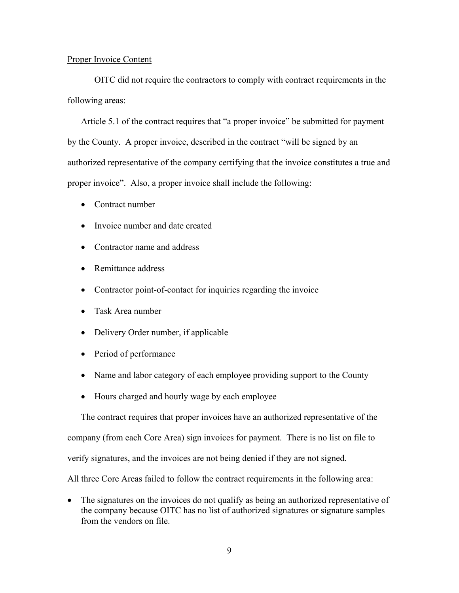### Proper Invoice Content

OITC did not require the contractors to comply with contract requirements in the following areas:

Article 5.1 of the contract requires that "a proper invoice" be submitted for payment by the County. A proper invoice, described in the contract "will be signed by an authorized representative of the company certifying that the invoice constitutes a true and proper invoice". Also, a proper invoice shall include the following:

- Contract number
- Invoice number and date created
- Contractor name and address
- Remittance address
- Contractor point-of-contact for inquiries regarding the invoice
- Task Area number
- Delivery Order number, if applicable
- Period of performance
- Name and labor category of each employee providing support to the County
- Hours charged and hourly wage by each employee

The contract requires that proper invoices have an authorized representative of the

company (from each Core Area) sign invoices for payment. There is no list on file to

verify signatures, and the invoices are not being denied if they are not signed.

All three Core Areas failed to follow the contract requirements in the following area:

• The signatures on the invoices do not qualify as being an authorized representative of the company because OITC has no list of authorized signatures or signature samples from the vendors on file.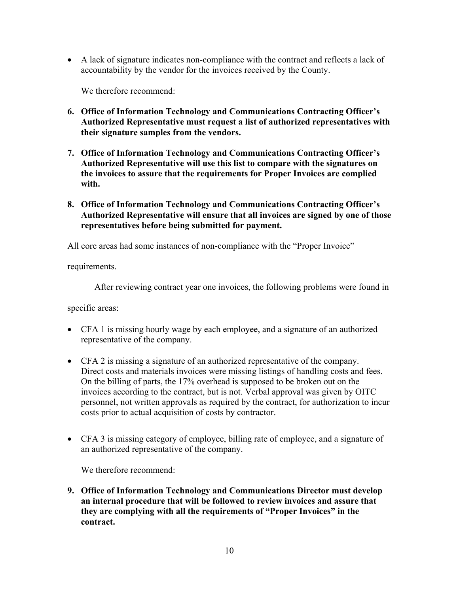• A lack of signature indicates non-compliance with the contract and reflects a lack of accountability by the vendor for the invoices received by the County.

We therefore recommend:

- **6. Office of Information Technology and Communications Contracting Officer's Authorized Representative must request a list of authorized representatives with their signature samples from the vendors.**
- **7. Office of Information Technology and Communications Contracting Officer's Authorized Representative will use this list to compare with the signatures on the invoices to assure that the requirements for Proper Invoices are complied with.**
- **8. Office of Information Technology and Communications Contracting Officer's Authorized Representative will ensure that all invoices are signed by one of those representatives before being submitted for payment.**

All core areas had some instances of non-compliance with the "Proper Invoice"

requirements.

After reviewing contract year one invoices, the following problems were found in

specific areas:

- CFA 1 is missing hourly wage by each employee, and a signature of an authorized representative of the company.
- CFA 2 is missing a signature of an authorized representative of the company. Direct costs and materials invoices were missing listings of handling costs and fees. On the billing of parts, the 17% overhead is supposed to be broken out on the invoices according to the contract, but is not. Verbal approval was given by OITC personnel, not written approvals as required by the contract, for authorization to incur costs prior to actual acquisition of costs by contractor.
- CFA 3 is missing category of employee, billing rate of employee, and a signature of an authorized representative of the company.

We therefore recommend:

**9. Office of Information Technology and Communications Director must develop an internal procedure that will be followed to review invoices and assure that they are complying with all the requirements of "Proper Invoices" in the contract.**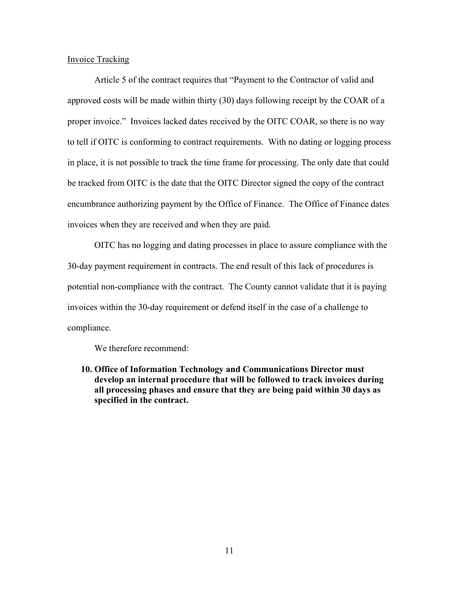### Invoice Tracking

Article 5 of the contract requires that "Payment to the Contractor of valid and approved costs will be made within thirty (30) days following receipt by the COAR of a proper invoice." Invoices lacked dates received by the OITC COAR, so there is no way to tell if OITC is conforming to contract requirements. With no dating or logging process in place, it is not possible to track the time frame for processing. The only date that could be tracked from OITC is the date that the OITC Director signed the copy of the contract encumbrance authorizing payment by the Office of Finance. The Office of Finance dates invoices when they are received and when they are paid.

OITC has no logging and dating processes in place to assure compliance with the 30-day payment requirement in contracts. The end result of this lack of procedures is potential non-compliance with the contract. The County cannot validate that it is paying invoices within the 30-day requirement or defend itself in the case of a challenge to compliance.

We therefore recommend:

**10. Office of Information Technology and Communications Director must develop an internal procedure that will be followed to track invoices during all processing phases and ensure that they are being paid within 30 days as specified in the contract.**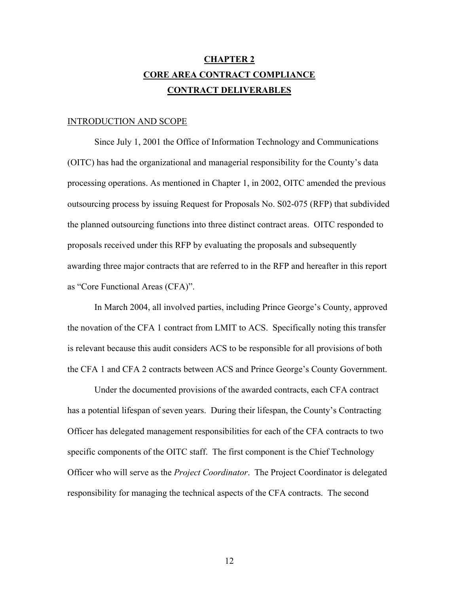## **CHAPTER 2 CORE AREA CONTRACT COMPLIANCE CONTRACT DELIVERABLES**

### INTRODUCTION AND SCOPE

Since July 1, 2001 the Office of Information Technology and Communications (OITC) has had the organizational and managerial responsibility for the County's data processing operations. As mentioned in Chapter 1, in 2002, OITC amended the previous outsourcing process by issuing Request for Proposals No. S02-075 (RFP) that subdivided the planned outsourcing functions into three distinct contract areas. OITC responded to proposals received under this RFP by evaluating the proposals and subsequently awarding three major contracts that are referred to in the RFP and hereafter in this report as "Core Functional Areas (CFA)".

In March 2004, all involved parties, including Prince George's County, approved the novation of the CFA 1 contract from LMIT to ACS. Specifically noting this transfer is relevant because this audit considers ACS to be responsible for all provisions of both the CFA 1 and CFA 2 contracts between ACS and Prince George's County Government.

Under the documented provisions of the awarded contracts, each CFA contract has a potential lifespan of seven years. During their lifespan, the County's Contracting Officer has delegated management responsibilities for each of the CFA contracts to two specific components of the OITC staff. The first component is the Chief Technology Officer who will serve as the *Project Coordinator*. The Project Coordinator is delegated responsibility for managing the technical aspects of the CFA contracts. The second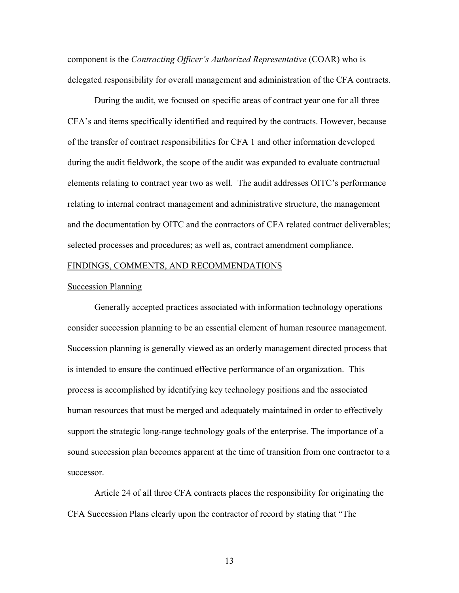component is the *Contracting Officer's Authorized Representative* (COAR) who is delegated responsibility for overall management and administration of the CFA contracts.

During the audit, we focused on specific areas of contract year one for all three CFA's and items specifically identified and required by the contracts. However, because of the transfer of contract responsibilities for CFA 1 and other information developed during the audit fieldwork, the scope of the audit was expanded to evaluate contractual elements relating to contract year two as well. The audit addresses OITC's performance relating to internal contract management and administrative structure, the management and the documentation by OITC and the contractors of CFA related contract deliverables; selected processes and procedures; as well as, contract amendment compliance.

### FINDINGS, COMMENTS, AND RECOMMENDATIONS

### Succession Planning

Generally accepted practices associated with information technology operations consider succession planning to be an essential element of human resource management. Succession planning is generally viewed as an orderly management directed process that is intended to ensure the continued effective performance of an organization. This process is accomplished by identifying key technology positions and the associated human resources that must be merged and adequately maintained in order to effectively support the strategic long-range technology goals of the enterprise. The importance of a sound succession plan becomes apparent at the time of transition from one contractor to a successor.

Article 24 of all three CFA contracts places the responsibility for originating the CFA Succession Plans clearly upon the contractor of record by stating that "The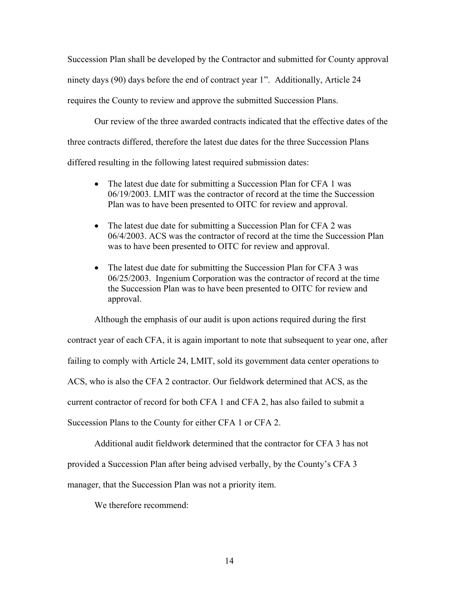Succession Plan shall be developed by the Contractor and submitted for County approval ninety days (90) days before the end of contract year 1". Additionally, Article 24 requires the County to review and approve the submitted Succession Plans.

Our review of the three awarded contracts indicated that the effective dates of the three contracts differed, therefore the latest due dates for the three Succession Plans differed resulting in the following latest required submission dates:

- The latest due date for submitting a Succession Plan for CFA 1 was 06/19/2003. LMIT was the contractor of record at the time the Succession Plan was to have been presented to OITC for review and approval.
- The latest due date for submitting a Succession Plan for CFA 2 was 06/4/2003. ACS was the contractor of record at the time the Succession Plan was to have been presented to OITC for review and approval.
- The latest due date for submitting the Succession Plan for CFA 3 was 06/25/2003. Ingenium Corporation was the contractor of record at the time the Succession Plan was to have been presented to OITC for review and approval.

Although the emphasis of our audit is upon actions required during the first contract year of each CFA, it is again important to note that subsequent to year one, after failing to comply with Article 24, LMIT, sold its government data center operations to ACS, who is also the CFA 2 contractor. Our fieldwork determined that ACS, as the current contractor of record for both CFA 1 and CFA 2, has also failed to submit a Succession Plans to the County for either CFA 1 or CFA 2.

Additional audit fieldwork determined that the contractor for CFA 3 has not

provided a Succession Plan after being advised verbally, by the County's CFA 3

manager, that the Succession Plan was not a priority item.

We therefore recommend: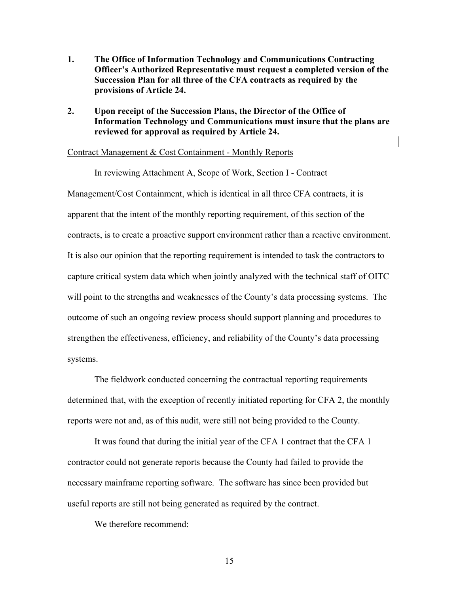- **1. The Office of Information Technology and Communications Contracting Officer's Authorized Representative must request a completed version of the Succession Plan for all three of the CFA contracts as required by the provisions of Article 24.**
- **2. Upon receipt of the Succession Plans, the Director of the Office of Information Technology and Communications must insure that the plans are reviewed for approval as required by Article 24.**

### Contract Management & Cost Containment - Monthly Reports

In reviewing Attachment A, Scope of Work, Section I - Contract Management/Cost Containment, which is identical in all three CFA contracts, it is apparent that the intent of the monthly reporting requirement, of this section of the contracts, is to create a proactive support environment rather than a reactive environment. It is also our opinion that the reporting requirement is intended to task the contractors to capture critical system data which when jointly analyzed with the technical staff of OITC will point to the strengths and weaknesses of the County's data processing systems. The outcome of such an ongoing review process should support planning and procedures to strengthen the effectiveness, efficiency, and reliability of the County's data processing systems.

The fieldwork conducted concerning the contractual reporting requirements determined that, with the exception of recently initiated reporting for CFA 2, the monthly reports were not and, as of this audit, were still not being provided to the County.

It was found that during the initial year of the CFA 1 contract that the CFA 1 contractor could not generate reports because the County had failed to provide the necessary mainframe reporting software. The software has since been provided but useful reports are still not being generated as required by the contract.

We therefore recommend: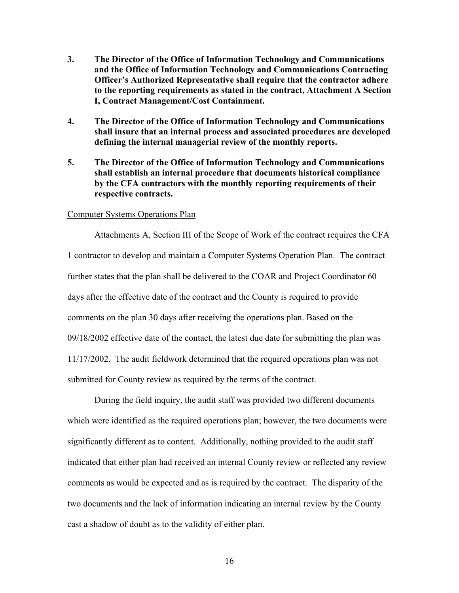- **3. The Director of the Office of Information Technology and Communications and the Office of Information Technology and Communications Contracting Officer's Authorized Representative shall require that the contractor adhere to the reporting requirements as stated in the contract, Attachment A Section I, Contract Management/Cost Containment.**
- **4. The Director of the Office of Information Technology and Communications shall insure that an internal process and associated procedures are developed defining the internal managerial review of the monthly reports.**
- **5. The Director of the Office of Information Technology and Communications shall establish an internal procedure that documents historical compliance by the CFA contractors with the monthly reporting requirements of their respective contracts.**

### Computer Systems Operations Plan

Attachments A, Section III of the Scope of Work of the contract requires the CFA 1 contractor to develop and maintain a Computer Systems Operation Plan. The contract further states that the plan shall be delivered to the COAR and Project Coordinator 60 days after the effective date of the contract and the County is required to provide comments on the plan 30 days after receiving the operations plan. Based on the 09/18/2002 effective date of the contact, the latest due date for submitting the plan was 11/17/2002. The audit fieldwork determined that the required operations plan was not submitted for County review as required by the terms of the contract.

During the field inquiry, the audit staff was provided two different documents which were identified as the required operations plan; however, the two documents were significantly different as to content. Additionally, nothing provided to the audit staff indicated that either plan had received an internal County review or reflected any review comments as would be expected and as is required by the contract. The disparity of the two documents and the lack of information indicating an internal review by the County cast a shadow of doubt as to the validity of either plan.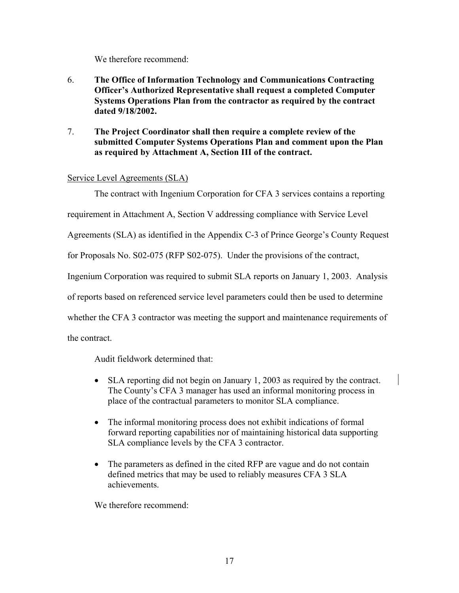We therefore recommend:

- 6. **The Office of Information Technology and Communications Contracting Officer's Authorized Representative shall request a completed Computer Systems Operations Plan from the contractor as required by the contract dated 9/18/2002.**
- 7. **The Project Coordinator shall then require a complete review of the submitted Computer Systems Operations Plan and comment upon the Plan as required by Attachment A, Section III of the contract.**

### Service Level Agreements (SLA)

The contract with Ingenium Corporation for CFA 3 services contains a reporting

requirement in Attachment A, Section V addressing compliance with Service Level

Agreements (SLA) as identified in the Appendix C-3 of Prince George's County Request

for Proposals No. S02-075 (RFP S02-075). Under the provisions of the contract,

Ingenium Corporation was required to submit SLA reports on January 1, 2003. Analysis

of reports based on referenced service level parameters could then be used to determine

whether the CFA 3 contractor was meeting the support and maintenance requirements of

the contract.

Audit fieldwork determined that:

- SLA reporting did not begin on January 1, 2003 as required by the contract. The County's CFA 3 manager has used an informal monitoring process in place of the contractual parameters to monitor SLA compliance.
- The informal monitoring process does not exhibit indications of formal forward reporting capabilities nor of maintaining historical data supporting SLA compliance levels by the CFA 3 contractor.
- The parameters as defined in the cited RFP are vague and do not contain defined metrics that may be used to reliably measures CFA 3 SLA achievements.

We therefore recommend: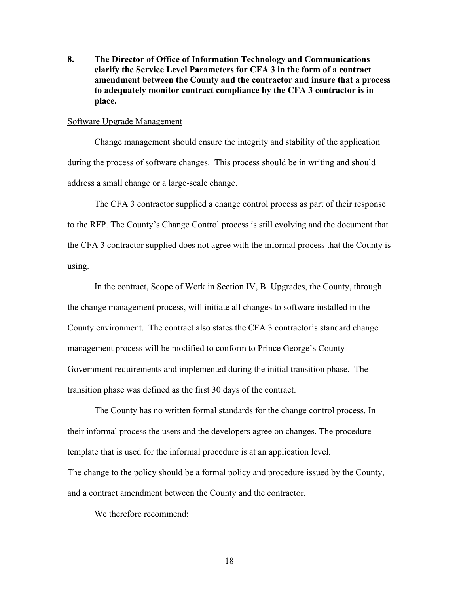**8. The Director of Office of Information Technology and Communications clarify the Service Level Parameters for CFA 3 in the form of a contract amendment between the County and the contractor and insure that a process to adequately monitor contract compliance by the CFA 3 contractor is in place.** 

### Software Upgrade Management

Change management should ensure the integrity and stability of the application during the process of software changes. This process should be in writing and should address a small change or a large-scale change.

The CFA 3 contractor supplied a change control process as part of their response to the RFP. The County's Change Control process is still evolving and the document that the CFA 3 contractor supplied does not agree with the informal process that the County is using.

In the contract, Scope of Work in Section IV, B. Upgrades, the County, through the change management process, will initiate all changes to software installed in the County environment. The contract also states the CFA 3 contractor's standard change management process will be modified to conform to Prince George's County Government requirements and implemented during the initial transition phase. The transition phase was defined as the first 30 days of the contract.

The County has no written formal standards for the change control process. In their informal process the users and the developers agree on changes. The procedure template that is used for the informal procedure is at an application level. The change to the policy should be a formal policy and procedure issued by the County, and a contract amendment between the County and the contractor.

We therefore recommend: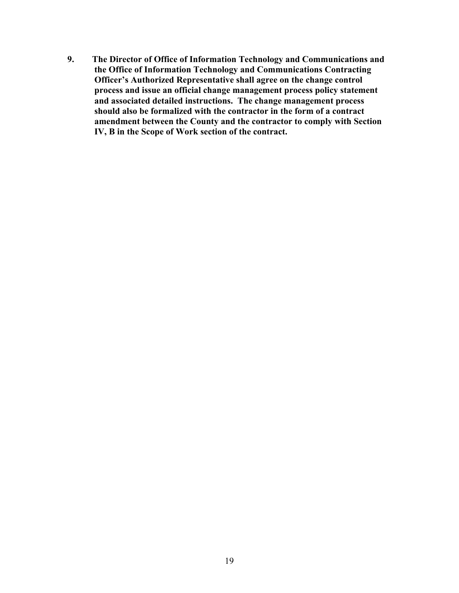**9. The Director of Office of Information Technology and Communications and the Office of Information Technology and Communications Contracting Officer's Authorized Representative shall agree on the change control process and issue an official change management process policy statement and associated detailed instructions. The change management process should also be formalized with the contractor in the form of a contract amendment between the County and the contractor to comply with Section IV, B in the Scope of Work section of the contract.**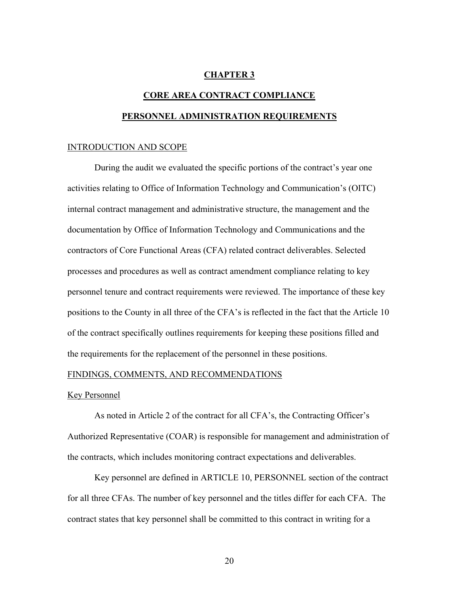### **CHAPTER 3**

# **CORE AREA CONTRACT COMPLIANCE PERSONNEL ADMINISTRATION REQUIREMENTS**

### INTRODUCTION AND SCOPE

During the audit we evaluated the specific portions of the contract's year one activities relating to Office of Information Technology and Communication's (OITC) internal contract management and administrative structure, the management and the documentation by Office of Information Technology and Communications and the contractors of Core Functional Areas (CFA) related contract deliverables. Selected processes and procedures as well as contract amendment compliance relating to key personnel tenure and contract requirements were reviewed. The importance of these key positions to the County in all three of the CFA's is reflected in the fact that the Article 10 of the contract specifically outlines requirements for keeping these positions filled and the requirements for the replacement of the personnel in these positions.

### FINDINGS, COMMENTS, AND RECOMMENDATIONS

### Key Personnel

As noted in Article 2 of the contract for all CFA's, the Contracting Officer's Authorized Representative (COAR) is responsible for management and administration of the contracts, which includes monitoring contract expectations and deliverables.

Key personnel are defined in ARTICLE 10, PERSONNEL section of the contract for all three CFAs. The number of key personnel and the titles differ for each CFA. The contract states that key personnel shall be committed to this contract in writing for a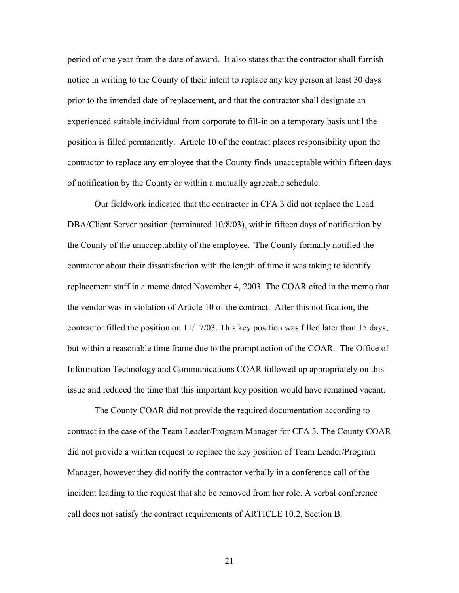period of one year from the date of award. It also states that the contractor shall furnish notice in writing to the County of their intent to replace any key person at least 30 days prior to the intended date of replacement, and that the contractor shall designate an experienced suitable individual from corporate to fill-in on a temporary basis until the position is filled permanently. Article 10 of the contract places responsibility upon the contractor to replace any employee that the County finds unacceptable within fifteen days of notification by the County or within a mutually agreeable schedule.

Our fieldwork indicated that the contractor in CFA 3 did not replace the Lead DBA/Client Server position (terminated 10/8/03), within fifteen days of notification by the County of the unacceptability of the employee. The County formally notified the contractor about their dissatisfaction with the length of time it was taking to identify replacement staff in a memo dated November 4, 2003. The COAR cited in the memo that the vendor was in violation of Article 10 of the contract. After this notification, the contractor filled the position on 11/17/03. This key position was filled later than 15 days, but within a reasonable time frame due to the prompt action of the COAR. The Office of Information Technology and Communications COAR followed up appropriately on this issue and reduced the time that this important key position would have remained vacant.

The County COAR did not provide the required documentation according to contract in the case of the Team Leader/Program Manager for CFA 3. The County COAR did not provide a written request to replace the key position of Team Leader/Program Manager, however they did notify the contractor verbally in a conference call of the incident leading to the request that she be removed from her role. A verbal conference call does not satisfy the contract requirements of ARTICLE 10.2, Section B.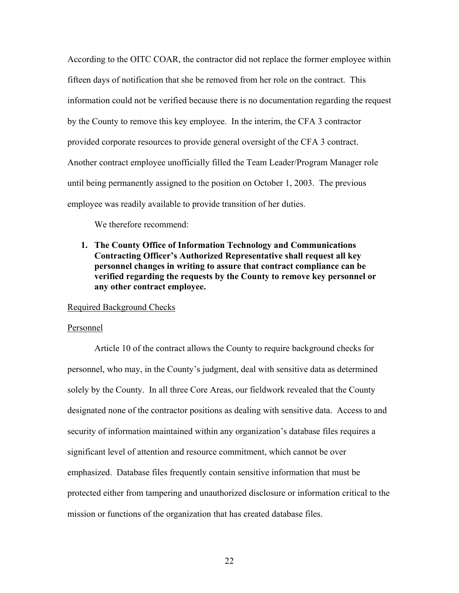According to the OITC COAR, the contractor did not replace the former employee within fifteen days of notification that she be removed from her role on the contract. This information could not be verified because there is no documentation regarding the request by the County to remove this key employee. In the interim, the CFA 3 contractor provided corporate resources to provide general oversight of the CFA 3 contract. Another contract employee unofficially filled the Team Leader/Program Manager role until being permanently assigned to the position on October 1, 2003. The previous employee was readily available to provide transition of her duties.

We therefore recommend:

**1. The County Office of Information Technology and Communications Contracting Officer's Authorized Representative shall request all key personnel changes in writing to assure that contract compliance can be verified regarding the requests by the County to remove key personnel or any other contract employee.** 

### Required Background Checks

### Personnel

Article 10 of the contract allows the County to require background checks for personnel, who may, in the County's judgment, deal with sensitive data as determined solely by the County. In all three Core Areas, our fieldwork revealed that the County designated none of the contractor positions as dealing with sensitive data. Access to and security of information maintained within any organization's database files requires a significant level of attention and resource commitment, which cannot be over emphasized. Database files frequently contain sensitive information that must be protected either from tampering and unauthorized disclosure or information critical to the mission or functions of the organization that has created database files.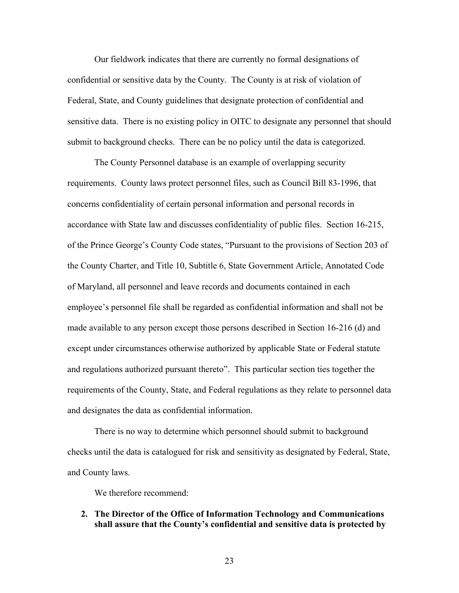Our fieldwork indicates that there are currently no formal designations of confidential or sensitive data by the County. The County is at risk of violation of Federal, State, and County guidelines that designate protection of confidential and sensitive data. There is no existing policy in OITC to designate any personnel that should submit to background checks. There can be no policy until the data is categorized.

The County Personnel database is an example of overlapping security requirements. County laws protect personnel files, such as Council Bill 83-1996, that concerns confidentiality of certain personal information and personal records in accordance with State law and discusses confidentiality of public files. Section 16-215, of the Prince George's County Code states, "Pursuant to the provisions of Section 203 of the County Charter, and Title 10, Subtitle 6, State Government Article, Annotated Code of Maryland, all personnel and leave records and documents contained in each employee's personnel file shall be regarded as confidential information and shall not be made available to any person except those persons described in Section 16-216 (d) and except under circumstances otherwise authorized by applicable State or Federal statute and regulations authorized pursuant thereto". This particular section ties together the requirements of the County, State, and Federal regulations as they relate to personnel data and designates the data as confidential information.

There is no way to determine which personnel should submit to background checks until the data is catalogued for risk and sensitivity as designated by Federal, State, and County laws.

We therefore recommend:

- **2. The Director of the Office of Information Technology and Communications shall assure that the County's confidential and sensitive data is protected by** 
	- 23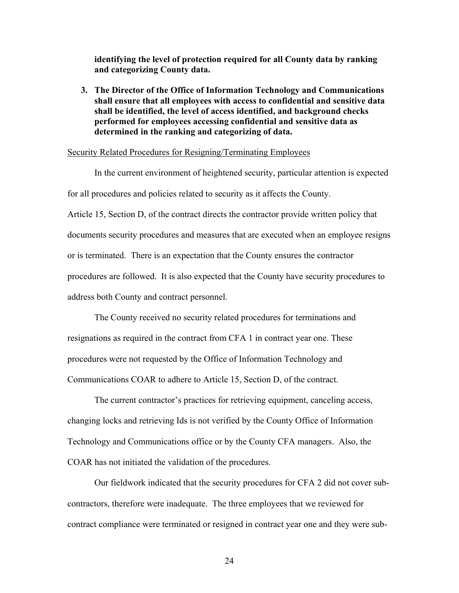**identifying the level of protection required for all County data by ranking and categorizing County data.** 

**3. The Director of the Office of Information Technology and Communications shall ensure that all employees with access to confidential and sensitive data shall be identified, the level of access identified, and background checks performed for employees accessing confidential and sensitive data as determined in the ranking and categorizing of data.** 

### Security Related Procedures for Resigning/Terminating Employees

In the current environment of heightened security, particular attention is expected for all procedures and policies related to security as it affects the County. Article 15, Section D, of the contract directs the contractor provide written policy that documents security procedures and measures that are executed when an employee resigns or is terminated. There is an expectation that the County ensures the contractor procedures are followed. It is also expected that the County have security procedures to address both County and contract personnel.

The County received no security related procedures for terminations and resignations as required in the contract from CFA 1 in contract year one. These procedures were not requested by the Office of Information Technology and Communications COAR to adhere to Article 15, Section D, of the contract.

The current contractor's practices for retrieving equipment, canceling access, changing locks and retrieving Ids is not verified by the County Office of Information Technology and Communications office or by the County CFA managers. Also, the COAR has not initiated the validation of the procedures.

Our fieldwork indicated that the security procedures for CFA 2 did not cover subcontractors, therefore were inadequate. The three employees that we reviewed for contract compliance were terminated or resigned in contract year one and they were sub-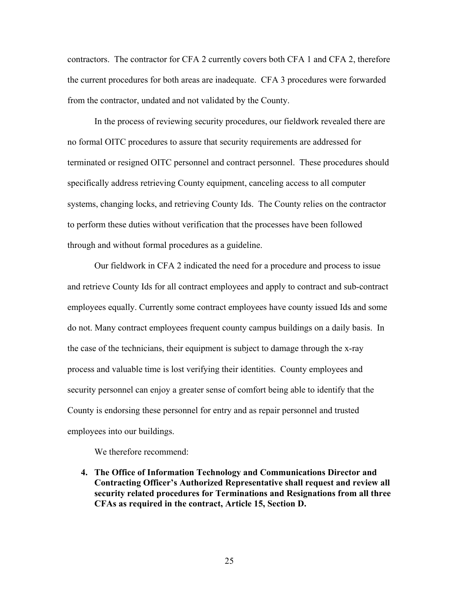contractors. The contractor for CFA 2 currently covers both CFA 1 and CFA 2, therefore the current procedures for both areas are inadequate. CFA 3 procedures were forwarded from the contractor, undated and not validated by the County.

In the process of reviewing security procedures, our fieldwork revealed there are no formal OITC procedures to assure that security requirements are addressed for terminated or resigned OITC personnel and contract personnel. These procedures should specifically address retrieving County equipment, canceling access to all computer systems, changing locks, and retrieving County Ids. The County relies on the contractor to perform these duties without verification that the processes have been followed through and without formal procedures as a guideline.

Our fieldwork in CFA 2 indicated the need for a procedure and process to issue and retrieve County Ids for all contract employees and apply to contract and sub-contract employees equally. Currently some contract employees have county issued Ids and some do not. Many contract employees frequent county campus buildings on a daily basis. In the case of the technicians, their equipment is subject to damage through the x-ray process and valuable time is lost verifying their identities. County employees and security personnel can enjoy a greater sense of comfort being able to identify that the County is endorsing these personnel for entry and as repair personnel and trusted employees into our buildings.

We therefore recommend:

**4. The Office of Information Technology and Communications Director and Contracting Officer's Authorized Representative shall request and review all security related procedures for Terminations and Resignations from all three CFAs as required in the contract, Article 15, Section D.**